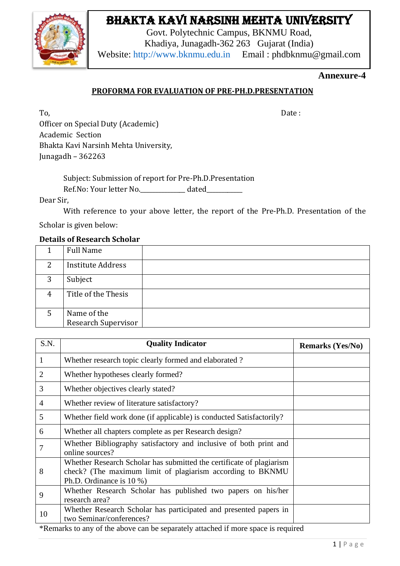## Bhakta Kavi Narsinh Mehta University



Govt. Polytechnic Campus, BKNMU Road, Khadiya, Junagadh-362 263 Gujarat (India) Website: [http://www.bknmu.edu.in](http://www.bknmu.edu.in/) Email : phdbknmu@gmail.com

#### **Annexure-4**

#### **PROFORMA FOR EVALUATION OF PRE-PH.D.PRESENTATION**

To, the contract of the contract of the contract of the contract of the contract of the contract of the contract of the contract of the contract of the contract of the contract of the contract of the contract of the contra

Officer on Special Duty (Academic) Academic Section Bhakta Kavi Narsinh Mehta University, Junagadh – 362263

> Subject: Submission of report for Pre-Ph.D.Presentation Ref.No: Your letter No. dated

Dear Sir,

With reference to your above letter, the report of the Pre-Ph.D. Presentation of the

Scholar is given below:

#### **Details of Research Scholar**

|   | <b>Full Name</b>         |  |
|---|--------------------------|--|
| 2 | <b>Institute Address</b> |  |
| 3 | Subject                  |  |
| 4 | Title of the Thesis      |  |
| 5 | Name of the              |  |
|   | Research Supervisor      |  |

| S.N.           | <b>Quality Indicator</b>                                                                                                                                                                                   | <b>Remarks (Yes/No)</b> |
|----------------|------------------------------------------------------------------------------------------------------------------------------------------------------------------------------------------------------------|-------------------------|
| 1              | Whether research topic clearly formed and elaborated?                                                                                                                                                      |                         |
| $\overline{2}$ | Whether hypotheses clearly formed?                                                                                                                                                                         |                         |
| 3              | Whether objectives clearly stated?                                                                                                                                                                         |                         |
| $\overline{4}$ | Whether review of literature satisfactory?                                                                                                                                                                 |                         |
| 5              | Whether field work done (if applicable) is conducted Satisfactorily?                                                                                                                                       |                         |
| 6              | Whether all chapters complete as per Research design?                                                                                                                                                      |                         |
| 7              | Whether Bibliography satisfactory and inclusive of both print and<br>online sources?                                                                                                                       |                         |
| 8              | Whether Research Scholar has submitted the certificate of plagiarism<br>check? (The maximum limit of plagiarism according to BKNMU<br>Ph.D. Ordinance is 10 %)                                             |                         |
| 9              | Whether Research Scholar has published two papers on his/her<br>research area?                                                                                                                             |                         |
| 10<br>÷η.      | Whether Research Scholar has participated and presented papers in<br>two Seminar/conferences?<br>. The declines of the other control to constant the starts of the state correct to according $\mathbf{1}$ |                         |

\*Remarks to any of the above can be separately attached if more space is required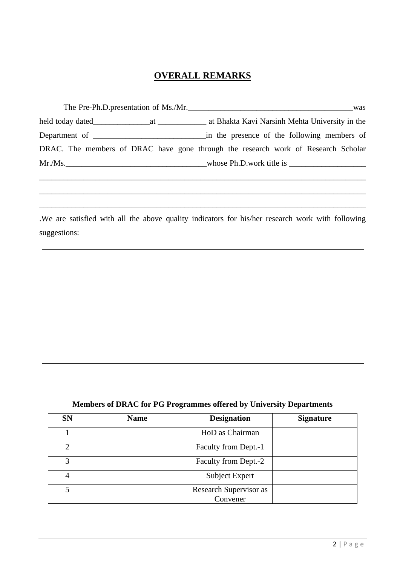### **OVERALL REMARKS**

|        | The Pre-Ph.D.presentation of Ms./Mr.<br>was                                       |
|--------|-----------------------------------------------------------------------------------|
|        | at Bhakta Kavi Narsinh Mehta University in the                                    |
|        | in the presence of the following members of                                       |
|        | DRAC. The members of DRAC have gone through the research work of Research Scholar |
| Mr.Ms. | whose Ph.D.work title is                                                          |

\_\_\_\_\_\_\_\_\_\_\_\_\_\_\_\_\_\_\_\_\_\_\_\_\_\_\_\_\_\_\_\_\_\_\_\_\_\_\_\_\_\_\_\_\_\_\_\_\_\_\_\_\_\_\_\_\_\_\_\_\_\_\_\_\_\_\_\_\_\_\_\_\_\_\_\_\_\_\_\_\_

\_\_\_\_\_\_\_\_\_\_\_\_\_\_\_\_\_\_\_\_\_\_\_\_\_\_\_\_\_\_\_\_\_\_\_\_\_\_\_\_\_\_\_\_\_\_\_\_\_\_\_\_\_\_\_\_\_\_\_\_\_\_\_\_\_\_\_\_\_\_\_\_\_\_\_\_\_\_\_\_\_

\_\_\_\_\_\_\_\_\_\_\_\_\_\_\_\_\_\_\_\_\_\_\_\_\_\_\_\_\_\_\_\_\_\_\_\_\_\_\_\_\_\_\_\_\_\_\_\_\_\_\_\_\_\_\_\_\_\_\_\_\_\_\_\_\_\_\_\_\_\_\_\_\_\_\_\_\_\_\_\_\_

.We are satisfied with all the above quality indicators for his/her research work with following suggestions:

# **Members of DRAC for PG Programmes offered by University Departments**

| <b>SN</b>      | <b>Name</b> | <b>Designation</b>                 | <b>Signature</b> |
|----------------|-------------|------------------------------------|------------------|
|                |             | HoD as Chairman                    |                  |
| $\mathfrak{D}$ |             | Faculty from Dept.-1               |                  |
| 3              |             | Faculty from Dept.-2               |                  |
| 4              |             | <b>Subject Expert</b>              |                  |
| 5              |             | Research Supervisor as<br>Convener |                  |